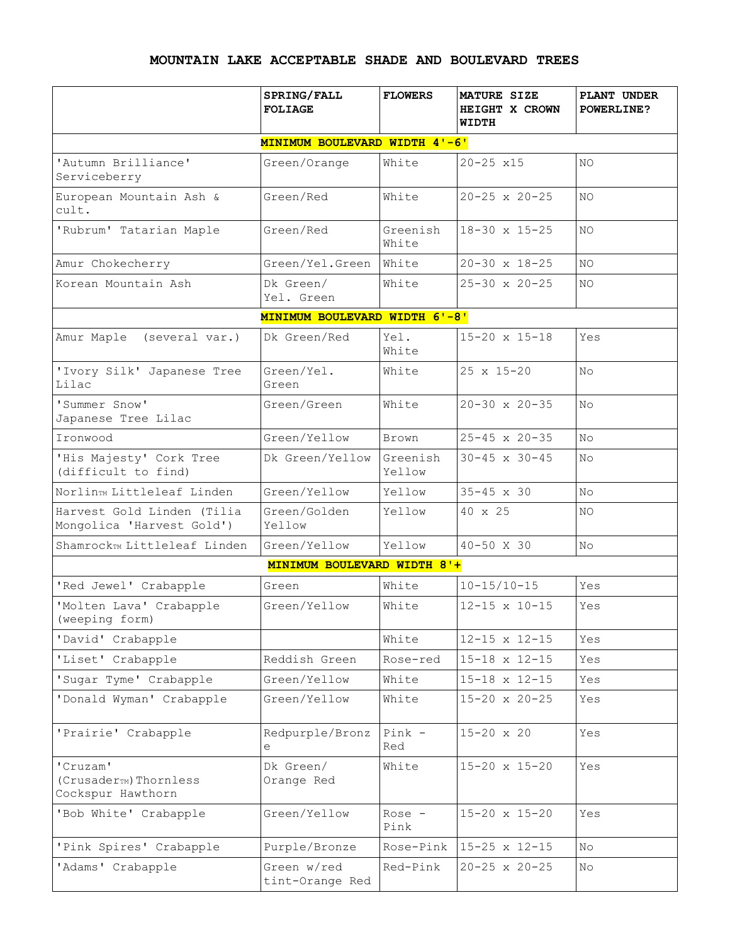## **MOUNTAIN LAKE ACCEPTABLE SHADE AND BOULEVARD TREES**

|                                                                    | SPRING/FALL<br><b>FOLIAGE</b>  | <b>FLOWERS</b>     | MATURE SIZE<br><b>HEIGHT X CROWN</b><br>WIDTH | PLANT UNDER<br><b>POWERLINE?</b> |  |  |  |  |
|--------------------------------------------------------------------|--------------------------------|--------------------|-----------------------------------------------|----------------------------------|--|--|--|--|
| MINIMUM BOULEVARD WIDTH 4'-6'                                      |                                |                    |                                               |                                  |  |  |  |  |
| 'Autumn Brilliance'<br>Serviceberry                                | Green/Orange                   | White              | $20 - 25 \times 15$                           | NO.                              |  |  |  |  |
| European Mountain Ash &<br>cult.                                   | Green/Red                      | White              | $20 - 25 \times 20 - 25$                      | NO.                              |  |  |  |  |
| 'Rubrum' Tatarian Maple                                            | Green/Red                      | Greenish<br>White  | $18 - 30 \times 15 - 25$                      | NO.                              |  |  |  |  |
| Amur Chokecherry                                                   | Green/Yel.Green                | White              | $20 - 30 \times 18 - 25$                      | NO.                              |  |  |  |  |
| Korean Mountain Ash                                                | Dk Green/<br>Yel. Green        | White              | $25 - 30 \times 20 - 25$                      | NO.                              |  |  |  |  |
|                                                                    | MINIMUM BOULEVARD WIDTH 6'-8'  |                    |                                               |                                  |  |  |  |  |
| Amur Maple<br>(several var.)                                       | Dk Green/Red                   | Yel.<br>White      | $15 - 20 \times 15 - 18$                      | Yes                              |  |  |  |  |
| 'Ivory Silk' Japanese Tree<br>Lilac                                | Green/Yel.<br>Green            | White              | $25 \times 15 - 20$                           | No                               |  |  |  |  |
| 'Summer Snow'<br>Japanese Tree Lilac                               | Green/Green                    | White              | $20 - 30 \times 20 - 35$                      | No                               |  |  |  |  |
| Ironwood                                                           | Green/Yellow                   | Brown              | $25 - 45 \times 20 - 35$                      | No                               |  |  |  |  |
| 'His Majesty' Cork Tree<br>(difficult to find)                     | Dk Green/Yellow                | Greenish<br>Yellow | $30 - 45 \times 30 - 45$                      | No                               |  |  |  |  |
| Norlin <sub>TM</sub> Littleleaf Linden                             | Green/Yellow                   | Yellow             | $35 - 45 \times 30$                           | No                               |  |  |  |  |
| Harvest Gold Linden (Tilia<br>Mongolica 'Harvest Gold')            | Green/Golden<br>Yellow         | Yellow             | 40 x 25                                       | NO.                              |  |  |  |  |
| Shamrock <sub>™</sub> Littleleaf Linden                            | Green/Yellow                   | Yellow             | 40-50 X 30                                    | No                               |  |  |  |  |
|                                                                    | MINIMUM BOULEVARD WIDTH 8'+    |                    |                                               |                                  |  |  |  |  |
| 'Red Jewel' Crabapple                                              | Green                          | White              | $10 - 15/10 - 15$                             | Yes                              |  |  |  |  |
| 'Molten Lava' Crabapple<br>(weeping form)                          | Green/Yellow                   | White              | $12 - 15 \times 10 - 15$                      | Yes                              |  |  |  |  |
| 'David' Crabapple                                                  |                                | White              | $12 - 15 \times 12 - 15$                      | Yes                              |  |  |  |  |
| 'Liset' Crabapple                                                  | Reddish Green                  | Rose-red           | $15 - 18 \times 12 - 15$                      | Yes                              |  |  |  |  |
| 'Sugar Tyme' Crabapple                                             | Green/Yellow                   | White              | $15 - 18 \times 12 - 15$                      | Yes                              |  |  |  |  |
| 'Donald Wyman' Crabapple                                           | Green/Yellow                   | White              | $15 - 20 \times 20 - 25$                      | Yes                              |  |  |  |  |
| 'Prairie' Crabapple                                                | Redpurple/Bronz<br>e           | $Pink$ -<br>Red    | $15 - 20 \times 20$                           | Yes                              |  |  |  |  |
| 'Cruzam'<br>(Crusader <sub>™</sub> )Thornless<br>Cockspur Hawthorn | Dk Green/<br>Orange Red        | White              | $15 - 20 \times 15 - 20$                      | Yes                              |  |  |  |  |
| 'Bob White' Crabapple                                              | Green/Yellow                   | $Rose -$<br>Pink   | $15 - 20 \times 15 - 20$                      | Yes                              |  |  |  |  |
| 'Pink Spires' Crabapple                                            | Purple/Bronze                  | Rose-Pink          | $15 - 25 \times 12 - 15$                      | No                               |  |  |  |  |
| 'Adams' Crabapple                                                  | Green w/red<br>tint-Orange Red | Red-Pink           | $20 - 25 \times 20 - 25$                      | No                               |  |  |  |  |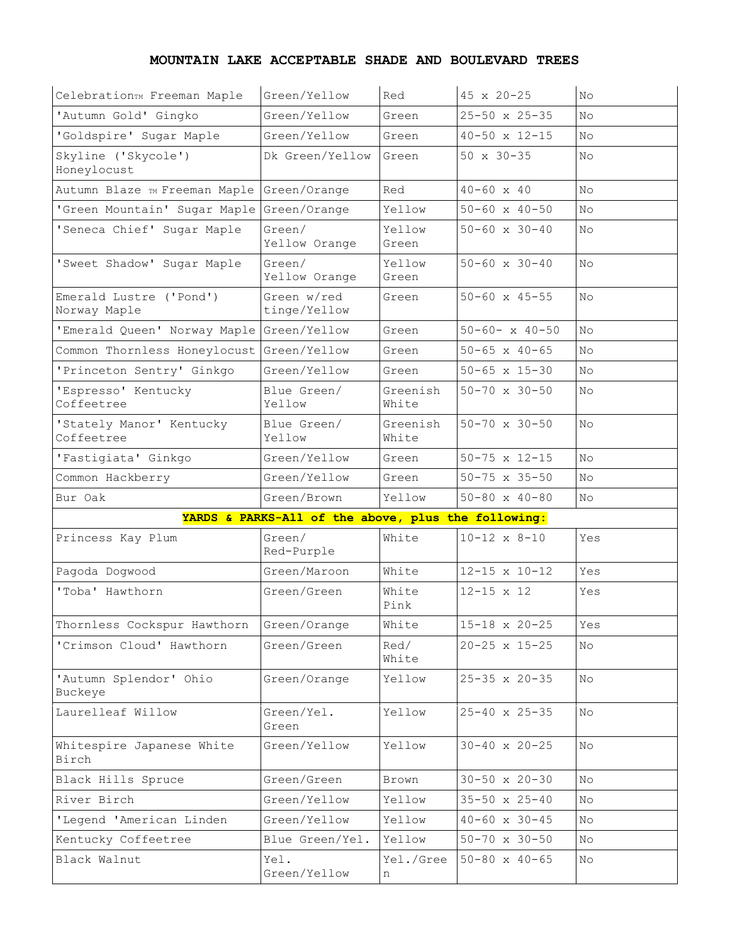## **MOUNTAIN LAKE ACCEPTABLE SHADE AND BOULEVARD TREES**

| CelebrationTM Freeman Maple               | Green/Yellow                                        | Red               | 45 x 20-25               | No  |
|-------------------------------------------|-----------------------------------------------------|-------------------|--------------------------|-----|
| 'Autumn Gold' Gingko                      | Green/Yellow                                        | Green             | $25 - 50 \times 25 - 35$ | No  |
| 'Goldspire' Sugar Maple                   | Green/Yellow                                        | Green             | $40 - 50 \times 12 - 15$ | No  |
| Skyline ('Skycole')<br>Honeylocust        | Dk Green/Yellow                                     | Green             | $50 \times 30 - 35$      | No. |
| Autumn Blaze TM Freeman Maple             | Green/Orange                                        | Red               | $40 - 60 \times 40$      | No  |
| 'Green Mountain' Sugar Maple              | Green/Orange                                        | Yellow            | $50 - 60 \times 40 - 50$ | No  |
| 'Seneca Chief' Sugar Maple                | Green/<br>Yellow Orange                             | Yellow<br>Green   | $50 - 60 \times 30 - 40$ | No  |
| 'Sweet Shadow' Sugar Maple                | Green/<br>Yellow Orange                             | Yellow<br>Green   | $50 - 60 \times 30 - 40$ | No  |
| Emerald Lustre ('Pond')<br>Norway Maple   | Green w/red<br>tinge/Yellow                         | Green             | $50 - 60 \times 45 - 55$ | No  |
| 'Emerald Queen' Norway Maple Green/Yellow |                                                     | Green             | $50 - 60 - x 40 - 50$    | No  |
| Common Thornless Honeylocust Green/Yellow |                                                     | Green             | $50 - 65$ x $40 - 65$    | No  |
| 'Princeton Sentry' Ginkgo                 | Green/Yellow                                        | Green             | $50 - 65 \times 15 - 30$ | No. |
| 'Espresso' Kentucky<br>Coffeetree         | Blue Green/<br>Yellow                               | Greenish<br>White | $50 - 70 \times 30 - 50$ | No  |
| 'Stately Manor' Kentucky<br>Coffeetree    | Blue Green/<br>Yellow                               | Greenish<br>White | $50 - 70 \times 30 - 50$ | No  |
| 'Fastigiata' Ginkgo                       | Green/Yellow                                        | Green             | $50 - 75 \times 12 - 15$ | No  |
| Common Hackberry                          | Green/Yellow                                        | Green             | $50 - 75 \times 35 - 50$ | No. |
|                                           |                                                     |                   |                          |     |
| Bur Oak                                   | Green/Brown                                         | Yellow            | $50 - 80 \times 40 - 80$ | No. |
|                                           | YARDS & PARKS-All of the above, plus the following: |                   |                          |     |
| Princess Kay Plum                         | Green/<br>Red-Purple                                | White             | $10 - 12 \times 8 - 10$  | Yes |
| Pagoda Dogwood                            | Green/Maroon                                        | White             | $12 - 15 \times 10 - 12$ | Yes |
| 'Toba' Hawthorn                           | Green/Green                                         | White<br>Pink     | $12 - 15 \times 12$      | Yes |
| Thornless Cockspur Hawthorn               | Green/Orange                                        | White             | $15 - 18 \times 20 - 25$ | Yes |
| 'Crimson Cloud' Hawthorn                  | Green/Green                                         | Red/<br>White     | $20 - 25 \times 15 - 25$ | No  |
| 'Autumn Splendor' Ohio<br>Buckeye         | Green/Orange                                        | Yellow            | $25 - 35 \times 20 - 35$ | No  |
| Laurelleaf Willow                         | Green/Yel.<br>Green                                 | Yellow            | $25 - 40 \times 25 - 35$ | Νo  |
| Whitespire Japanese White<br>Birch        | Green/Yellow                                        | Yellow            | $30 - 40 \times 20 - 25$ | No  |
| Black Hills Spruce                        | Green/Green                                         | Brown             | $30 - 50 \times 20 - 30$ | No  |
| River Birch                               | Green/Yellow                                        | Yellow            | $35 - 50 \times 25 - 40$ | No. |
| 'Legend 'American Linden                  | Green/Yellow                                        | Yellow            | $40 - 60 \times 30 - 45$ | No. |
| Kentucky Coffeetree                       | Blue Green/Yel.                                     | Yellow            | $50 - 70 \times 30 - 50$ | No. |